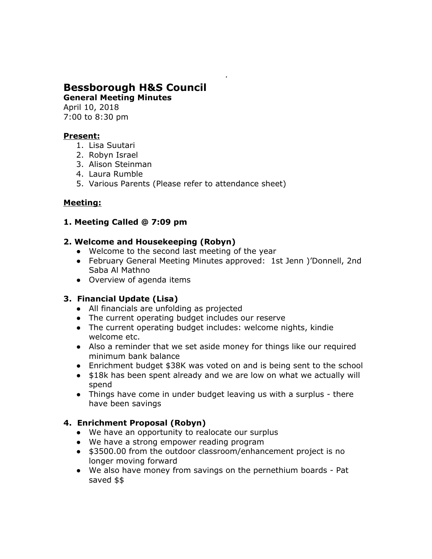# **Bessborough H&S Council**

**General Meeting Minutes**

April 10, 2018 7:00 to 8:30 pm

#### **Present:**

- 1. Lisa Suutari
- 2. Robyn Israel
- 3. Alison Steinman
- 4. Laura Rumble
- 5. Various Parents (Please refer to attendance sheet)

## **Meeting:**

#### **1. Meeting Called @ 7:09 pm**

#### **2. Welcome and Housekeeping (Robyn)**

- Welcome to the second last meeting of the year
- February General Meeting Minutes approved: 1st Jenn )'Donnell, 2nd Saba Al Mathno
- Overview of agenda items

## **3. Financial Update (Lisa)**

- All financials are unfolding as projected
- The current operating budget includes our reserve
- The current operating budget includes: welcome nights, kindie welcome etc.
- Also a reminder that we set aside money for things like our required minimum bank balance
- Enrichment budget \$38K was voted on and is being sent to the school
- \$18k has been spent already and we are low on what we actually will spend
- Things have come in under budget leaving us with a surplus there have been savings

## **4. Enrichment Proposal (Robyn)**

- **●** We have an opportunity to realocate our surplus
- **●** We have a strong empower reading program
- **●** \$3500.00 from the outdoor classroom/enhancement project is no longer moving forward
- **●** We also have money from savings on the pernethium boards Pat saved \$\$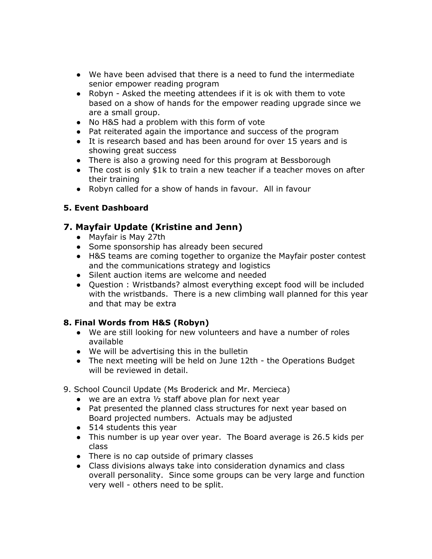- **●** We have been advised that there is a need to fund the intermediate senior empower reading program
- **●** Robyn Asked the meeting attendees if it is ok with them to vote based on a show of hands for the empower reading upgrade since we are a small group.
- **●** No H&S had a problem with this form of vote
- **●** Pat reiterated again the importance and success of the program
- **●** It is research based and has been around for over 15 years and is showing great success
- **●** There is also a growing need for this program at Bessborough
- **●** The cost is only \$1k to train a new teacher if a teacher moves on after their training
- **●** Robyn called for a show of hands in favour. All in favour

## **5. Event Dashboard**

# **7. Mayfair Update (Kristine and Jenn)**

- Mayfair is May 27th
- Some sponsorship has already been secured
- H&S teams are coming together to organize the Mayfair poster contest and the communications strategy and logistics
- Silent auction items are welcome and needed
- Question : Wristbands? almost everything except food will be included with the wristbands. There is a new climbing wall planned for this year and that may be extra

## **8. Final Words from H&S (Robyn)**

- We are still looking for new volunteers and have a number of roles available
- We will be advertising this in the bulletin
- The next meeting will be held on June 12th the Operations Budget will be reviewed in detail.
- 9. School Council Update (Ms Broderick and Mr. Mercieca)
	- we are an extra ½ staff above plan for next year
	- Pat presented the planned class structures for next year based on Board projected numbers. Actuals may be adjusted
	- 514 students this year
	- This number is up year over year. The Board average is 26.5 kids per class
	- There is no cap outside of primary classes
	- Class divisions always take into consideration dynamics and class overall personality. Since some groups can be very large and function very well - others need to be split.